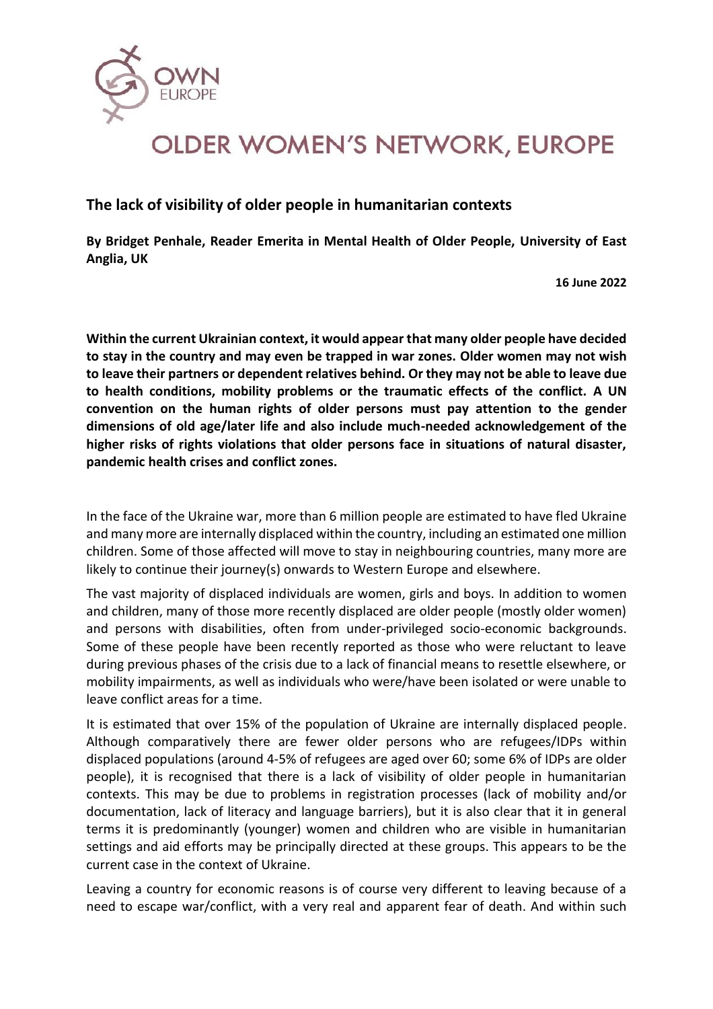

## **OLDER WOMEN'S NETWORK, EUROPE**

**The lack of visibility of older people in humanitarian contexts**

**By Bridget Penhale, Reader Emerita in Mental Health of Older People, University of East Anglia, UK**

**16 June 2022**

**Within the current Ukrainian context, it would appear that many older people have decided to stay in the country and may even be trapped in war zones. Older women may not wish to leave their partners or dependent relatives behind. Or they may not be able to leave due to health conditions, mobility problems or the traumatic effects of the conflict. A UN convention on the human rights of older persons must pay attention to the gender dimensions of old age/later life and also include much-needed acknowledgement of the higher risks of rights violations that older persons face in situations of natural disaster, pandemic health crises and conflict zones.**

In the face of the Ukraine war, more than 6 million people are estimated to have fled Ukraine and many more are internally displaced within the country, including an estimated one million children. Some of those affected will move to stay in neighbouring countries, many more are likely to continue their journey(s) onwards to Western Europe and elsewhere.

The vast majority of displaced individuals are women, girls and boys. In addition to women and children, many of those more recently displaced are older people (mostly older women) and persons with disabilities, often from under-privileged socio-economic backgrounds. Some of these people have been recently reported as those who were reluctant to leave during previous phases of the crisis due to a lack of financial means to resettle elsewhere, or mobility impairments, as well as individuals who were/have been isolated or were unable to leave conflict areas for a time.

It is estimated that over 15% of the population of Ukraine are internally displaced people. Although comparatively there are fewer older persons who are refugees/IDPs within displaced populations (around 4-5% of refugees are aged over 60; some 6% of IDPs are older people), it is recognised that there is a lack of visibility of older people in humanitarian contexts. This may be due to problems in registration processes (lack of mobility and/or documentation, lack of literacy and language barriers), but it is also clear that it in general terms it is predominantly (younger) women and children who are visible in humanitarian settings and aid efforts may be principally directed at these groups. This appears to be the current case in the context of Ukraine.

Leaving a country for economic reasons is of course very different to leaving because of a need to escape war/conflict, with a very real and apparent fear of death. And within such